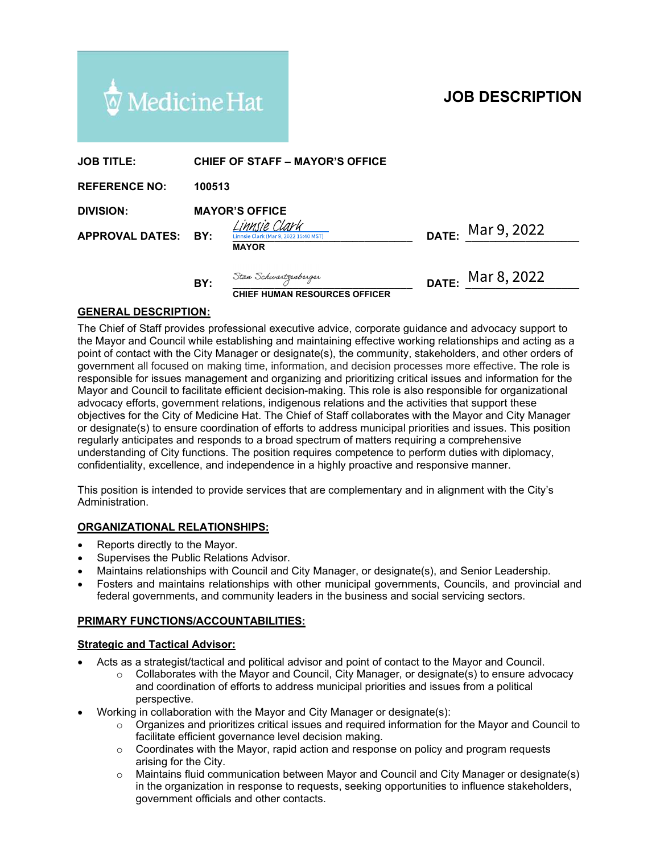

# JOB DESCRIPTION

| $\overline{\mathcal{Q}}$ Medicine Hat |        |                                                                      |                                                                                                                                                                                                                                                                                                                                                                                                                                                                                                                                                                                                                                                                                                                                                                           |       | <b>JOB DESCRIPTION</b>                                                                                   |  |
|---------------------------------------|--------|----------------------------------------------------------------------|---------------------------------------------------------------------------------------------------------------------------------------------------------------------------------------------------------------------------------------------------------------------------------------------------------------------------------------------------------------------------------------------------------------------------------------------------------------------------------------------------------------------------------------------------------------------------------------------------------------------------------------------------------------------------------------------------------------------------------------------------------------------------|-------|----------------------------------------------------------------------------------------------------------|--|
| <b>JOB TITLE:</b>                     |        |                                                                      | <b>CHIEF OF STAFF - MAYOR'S OFFICE</b>                                                                                                                                                                                                                                                                                                                                                                                                                                                                                                                                                                                                                                                                                                                                    |       |                                                                                                          |  |
| <b>REFERENCE NO:</b>                  | 100513 |                                                                      |                                                                                                                                                                                                                                                                                                                                                                                                                                                                                                                                                                                                                                                                                                                                                                           |       |                                                                                                          |  |
| <b>DIVISION:</b>                      |        | <b>MAYOR'S OFFICE</b>                                                |                                                                                                                                                                                                                                                                                                                                                                                                                                                                                                                                                                                                                                                                                                                                                                           |       |                                                                                                          |  |
| <b>APPROVAL DATES:</b>                | BY:    | Innsie Clark<br>innsie Clark (Mar 9, 2022 15:40 MST)<br><b>MAYOR</b> |                                                                                                                                                                                                                                                                                                                                                                                                                                                                                                                                                                                                                                                                                                                                                                           | DATE: | Mar 9, 2022                                                                                              |  |
|                                       | BY:    | Stan Schwartzenberger                                                | <b>CHIEF HUMAN RESOURCES OFFICER</b>                                                                                                                                                                                                                                                                                                                                                                                                                                                                                                                                                                                                                                                                                                                                      | DATE: | Mar 8, 2022                                                                                              |  |
| <b>GENERAL DESCRIPTION:</b>           |        |                                                                      |                                                                                                                                                                                                                                                                                                                                                                                                                                                                                                                                                                                                                                                                                                                                                                           |       |                                                                                                          |  |
|                                       |        |                                                                      | The Chief of Staff provides professional executive advice, corporate guidance and advocacy support to<br>point of contact with the City Manager or designate(s), the community, stakeholders, and other orders of<br>government all focused on making time, information, and decision processes more effective. The role is<br>responsible for issues management and organizing and prioritizing critical issues and information for the<br>Mayor and Council to facilitate efficient decision-making. This role is also responsible for organizational<br>advocacy efforts, government relations, indigenous relations and the activities that support these<br>objectives for the City of Medicine Hat. The Chief of Staff collaborates with the Mayor and City Manager |       | the Mayor and Council while establishing and maintaining effective working relationships and acting as a |  |

#### GENERAL DESCRIPTION:

The Chief of Staff provides professional executive advice, corporate guidance and advocacy support to Mayor and Council to facilitate efficient decision-making. This role is also responsible for organizational advocacy efforts, government relations, indigenous relations and the activities that support these objectives for the City of Medicine Hat. The Chief of Staff collaborates with the Mayor and City Manager or designate(s) to ensure coordination of efforts to address municipal priorities and issues. This position **JOB TITLE:** CHIEF OF STAFF – MAYOR'S OFFICE<br>
REFERENCE NO: 100513<br>
DIVISION: MAYOR'S OFFICE<br>
APPROVAL DATES: BY:  $\frac{\frac{(M)Hf}{dR}}{\frac{(M)Hf}{dR}}\frac{dL}{dR}$  DATE:  $\frac{M}{dR}$  DATE:  $\frac{M}{dR}$   $\frac{3}{2}$   $\frac{2022}{64}$ <br>
The Chief of understanding of City functions. The position requires competence to perform duties with diplomacy, confidentiality, excellence, and independence in a highly proactive and responsive manner. government all focused on making time, information, and decision processes more effective. The responsible for issues management and organizing and prioritizing critical issues and information Mayor and Council to facilita Virsiwe of its assess many energy and pointing on point that we have a strate incomedication of the matter and the matter inclusion of a finder and the activities that support these terms and the political and the activiti Inversion of about the Collaboration in designations and the activities that support these<br>is of the City of Medicine Hat. The Chief of Staff collaborates with the Mayor and City Manager<br>anate(s) to ensure coordination of For the Collection of efforts to address municipal priorities and support the Mayor and City Manager<br>(s) to ensure coordination of efforts to address municipal priorities and issues. This position<br>(s) to ensure coordinatio

This position is intended to provide services that are complementary and in alignment with the City's Administration.

#### ORGANIZATIONAL RELATIONSHIPS:

- Reports directly to the Mayor.
- Supervises the Public Relations Advisor.
- Maintains relationships with Council and City Manager, or designate(s), and Senior Leadership.
- Fosters and maintains relationships with other municipal governments, Councils, and provincial and federal governments, and community leaders in the business and social servicing sectors.

#### PRIMARY FUNCTIONS/ACCOUNTABILITIES:

- 
- perspective. on the matter of the Mayor and Council interaction in the Council interaction in the Organization in the Organization in the Organization is interacted to provide services that are complementary and in alignment with the C ing only allow the public condition in explosive control and displanet the displanet sum of the City's Cyle work of the City's and independence in a highly proactive and responsive manner.<br>
In sintended to provide services of Coordinates with the Mayor and City Manager, or designate (s)<br>its alternative is interesting to the Mayor,<br>
ordinates are an interesting to the Mayor,<br>
ordinates with Council and City Manager, or designate(s), and Senio INCRED TO THE MAND THE STATE ON THE MAND THE STATE ON THE STATE ON THE STATE ON THE STATE ON THE STATE ON THE STATE ON THE STATE ON THE STATE ON THE STATE ON THE STATE ON THE STATE ON THE STATE ON THE MAYOR AND THE STATE O <sup>511</sup>.<br>**ICONAL RELATIONSHIPS:**<br>Idectly to the Mayor.<br>Is relations Revision:<br>In relations Advisor.<br>In relationships with Council and City Manager, or designate(s), and Senior Leadership.<br>and maintains relationships with oth
- - Working in collaboration with the Mayor and City Manager or designate(s):<br>  $\circ$  Organizes and prioritizes critical issues and required information for the Mayor and Council to
		- arising for the City.
		- government officials and other contacts.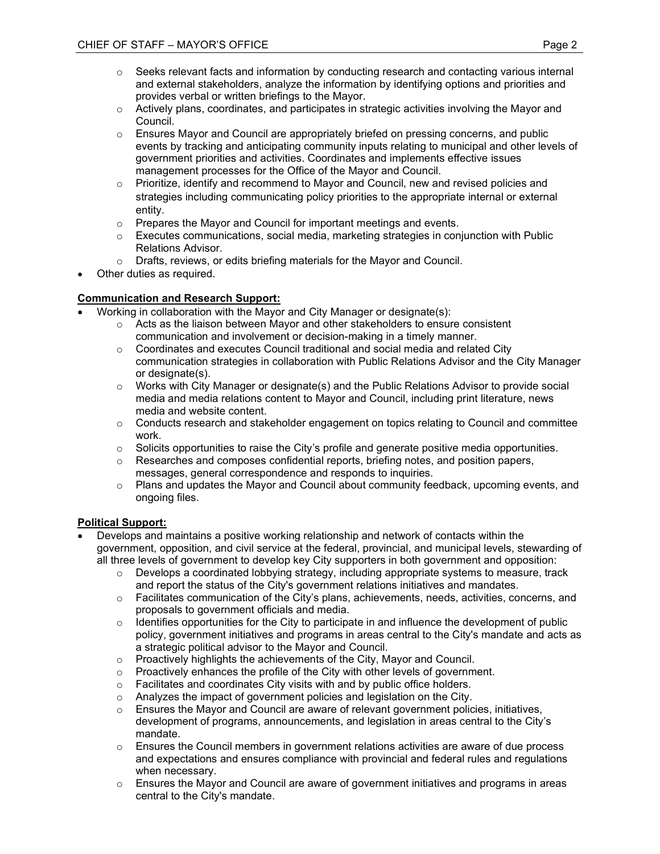- OF STAFF MAYOR'S OFFICE<br>
Page 2<br>
Seeks relevant facts and information by conducting research and contacting various internal<br>
and external stakeholders, analyze the information by identifying options and priorities and<br> and external stakeholders, analyze the information by identifying options and priorities and provides verbal or written briefings to the Mayor.
- $\circ$  Actively plans, coordinates, and participates in strategic activities involving the Mayor and Council.
- $\circ$  Ensures Mayor and Council are appropriately briefed on pressing concerns, and public events by tracking and anticipating community inputs relating to municipal and other levels of government priorities and activities. Coordinates and implements effective issues management processes for the Office of the Mayor and Council.
- o Prioritize, identify and recommend to Mayor and Council, new and revised policies and strategies including communicating policy priorities to the appropriate internal or external entity.
- o Prepares the Mayor and Council for important meetings and events.
- $\circ$  Executes communications, social media, marketing strategies in conjunction with Public Relations Advisor.
- o Drafts, reviews, or edits briefing materials for the Mayor and Council.
- Other duties as required.

# Communication and Research Support:

- Working in collaboration with the Mayor and City Manager or designate(s):
	- $\circ$  Acts as the liaison between Mayor and other stakeholders to ensure consistent communication and involvement or decision-making in a timely manner.
- $\circ$  Coordinates and executes Council traditional and social media and related City communication strategies in collaboration with Public Relations Advisor and the City Manager or designate(s). Develops are continguous and the Mayor and Council.<br>
Other duties as required.<br>
Working in collaboration with the Mayor and City Manager or designate(s):<br>
working in collaboration with the Mayor and Otivy Amager or designa
	- $\circ$  Works with City Manager or designate(s) and the Public Relations Advisor to provide social media and media relations content to Mayor and Council, including print literature, news media and website content.
	- $\circ$  Conducts research and stakeholder engagement on topics relating to Council and committee work.
	- $\circ$  Solicits opportunities to raise the City's profile and generate positive media opportunities.<br> $\circ$  Researches and composes confidential reports, briefing notes, and position papers.
	- Researches and composes confidential reports, briefing notes, and position papers, messages, general correspondence and responds to inquiries.
	- $\circ$  Plans and updates the Mayor and Council about community feedback, upcoming events, and ongoing files.

#### Political Support:

- government, opposition, and civil service at the federal, provincial, and municipal levels, stewarding of all three levels of government to develop key City supporters in both government and opposition:
	- $\circ$  Develops a coordinated lobbying strategy, including appropriate systems to measure, track and report the status of the City's government relations initiatives and mandates.
	- o Facilitates communication of the City's plans, achievements, needs, activities, concerns, and proposals to government officials and media.
	- $\circ$  Identifies opportunities for the City to participate in and influence the development of public policy, government initiatives and programs in areas central to the City's mandate and acts as a strategic political advisor to the Mayor and Council.
	- o Proactively highlights the achievements of the City, Mayor and Council.
	- $\circ$  Proactively enhances the profile of the City with other levels of government.
	- o Facilitates and coordinates City visits with and by public office holders.
	- o Analyzes the impact of government policies and legislation on the City.
	- $\circ$  Ensures the Mayor and Council are aware of relevant government policies, initiatives, development of programs, announcements, and legislation in areas central to the City's mandate.
	- $\circ$  Ensures the Council members in government relations activities are aware of due process and expectations and ensures compliance with provincial and federal rules and regulations when necessary.
	- $\circ$  Ensures the Mayor and Council are aware of government initiatives and programs in areas central to the City's mandate.